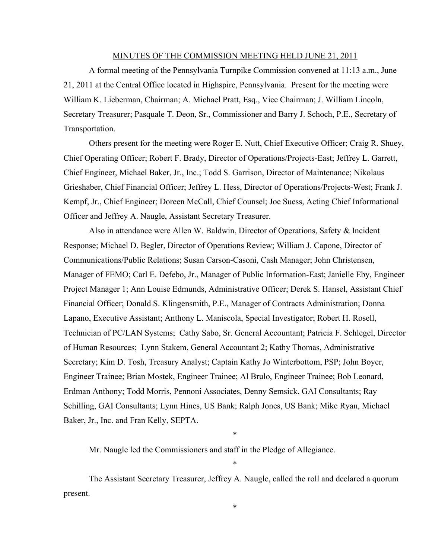#### MINUTES OF THE COMMISSION MEETING HELD JUNE 21, 2011

A formal meeting of the Pennsylvania Turnpike Commission convened at 11:13 a.m., June 21, 2011 at the Central Office located in Highspire, Pennsylvania. Present for the meeting were William K. Lieberman, Chairman; A. Michael Pratt, Esq., Vice Chairman; J. William Lincoln, Secretary Treasurer; Pasquale T. Deon, Sr., Commissioner and Barry J. Schoch, P.E., Secretary of Transportation.

Others present for the meeting were Roger E. Nutt, Chief Executive Officer; Craig R. Shuey, Chief Operating Officer; Robert F. Brady, Director of Operations/Projects-East; Jeffrey L. Garrett, Chief Engineer, Michael Baker, Jr., Inc.; Todd S. Garrison, Director of Maintenance; Nikolaus Grieshaber, Chief Financial Officer; Jeffrey L. Hess, Director of Operations/Projects-West; Frank J. Kempf, Jr., Chief Engineer; Doreen McCall, Chief Counsel; Joe Suess, Acting Chief Informational Officer and Jeffrey A. Naugle, Assistant Secretary Treasurer.

Also in attendance were Allen W. Baldwin, Director of Operations, Safety & Incident Response; Michael D. Begler, Director of Operations Review; William J. Capone, Director of Communications/Public Relations; Susan Carson-Casoni, Cash Manager; John Christensen, Manager of FEMO; Carl E. Defebo, Jr., Manager of Public Information-East; Janielle Eby, Engineer Project Manager 1; Ann Louise Edmunds, Administrative Officer; Derek S. Hansel, Assistant Chief Financial Officer; Donald S. Klingensmith, P.E., Manager of Contracts Administration; Donna Lapano, Executive Assistant; Anthony L. Maniscola, Special Investigator; Robert H. Rosell, Technician of PC/LAN Systems; Cathy Sabo, Sr. General Accountant; Patricia F. Schlegel, Director of Human Resources; Lynn Stakem, General Accountant 2; Kathy Thomas, Administrative Secretary; Kim D. Tosh, Treasury Analyst; Captain Kathy Jo Winterbottom, PSP; John Boyer, Engineer Trainee; Brian Mostek, Engineer Trainee; Al Brulo, Engineer Trainee; Bob Leonard, Erdman Anthony; Todd Morris, Pennoni Associates, Denny Semsick, GAI Consultants; Ray Schilling, GAI Consultants; Lynn Hines, US Bank; Ralph Jones, US Bank; Mike Ryan, Michael Baker, Jr., Inc. and Fran Kelly, SEPTA.

Mr. Naugle led the Commissioners and staff in the Pledge of Allegiance.

The Assistant Secretary Treasurer, Jeffrey A. Naugle, called the roll and declared a quorum present.

\*

\*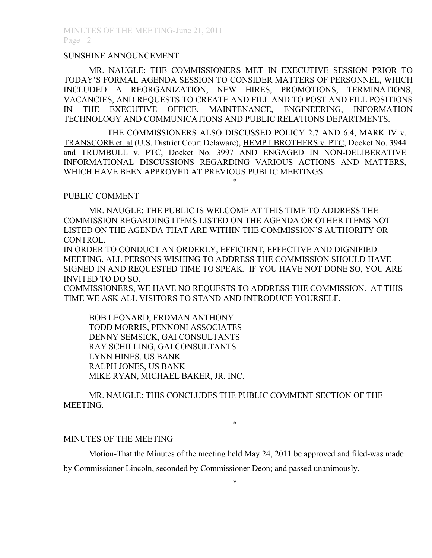### SUNSHINE ANNOUNCEMENT

MR. NAUGLE: THE COMMISSIONERS MET IN EXECUTIVE SESSION PRIOR TO TODAY'S FORMAL AGENDA SESSION TO CONSIDER MATTERS OF PERSONNEL, WHICH INCLUDED A REORGANIZATION, NEW HIRES, PROMOTIONS, TERMINATIONS, VACANCIES, AND REQUESTS TO CREATE AND FILL AND TO POST AND FILL POSITIONS IN THE EXECUTIVE OFFICE, MAINTENANCE, ENGINEERING, INFORMATION TECHNOLOGY AND COMMUNICATIONS AND PUBLIC RELATIONS DEPARTMENTS.

THE COMMISSIONERS ALSO DISCUSSED POLICY 2.7 AND 6.4, MARK IV v. TRANSCORE et. al (U.S. District Court Delaware), HEMPT BROTHERS v. PTC, Docket No. 3944 and TRUMBULL v. PTC, Docket No. 3997 AND ENGAGED IN NON-DELIBERATIVE INFORMATIONAL DISCUSSIONS REGARDING VARIOUS ACTIONS AND MATTERS, WHICH HAVE BEEN APPROVED AT PREVIOUS PUBLIC MEETINGS.

\*

## PUBLIC COMMENT

MR. NAUGLE: THE PUBLIC IS WELCOME AT THIS TIME TO ADDRESS THE COMMISSION REGARDING ITEMS LISTED ON THE AGENDA OR OTHER ITEMS NOT LISTED ON THE AGENDA THAT ARE WITHIN THE COMMISSION'S AUTHORITY OR CONTROL.

IN ORDER TO CONDUCT AN ORDERLY, EFFICIENT, EFFECTIVE AND DIGNIFIED MEETING, ALL PERSONS WISHING TO ADDRESS THE COMMISSION SHOULD HAVE SIGNED IN AND REQUESTED TIME TO SPEAK. IF YOU HAVE NOT DONE SO, YOU ARE INVITED TO DO SO.

COMMISSIONERS, WE HAVE NO REQUESTS TO ADDRESS THE COMMISSION. AT THIS TIME WE ASK ALL VISITORS TO STAND AND INTRODUCE YOURSELF.

BOB LEONARD, ERDMAN ANTHONY TODD MORRIS, PENNONI ASSOCIATES DENNY SEMSICK, GAI CONSULTANTS RAY SCHILLING, GAI CONSULTANTS LYNN HINES, US BANK RALPH JONES, US BANK MIKE RYAN, MICHAEL BAKER, JR. INC.

MR. NAUGLE: THIS CONCLUDES THE PUBLIC COMMENT SECTION OF THE MEETING.

\*

#### MINUTES OF THE MEETING

Motion-That the Minutes of the meeting held May 24, 2011 be approved and filed-was made by Commissioner Lincoln, seconded by Commissioner Deon; and passed unanimously.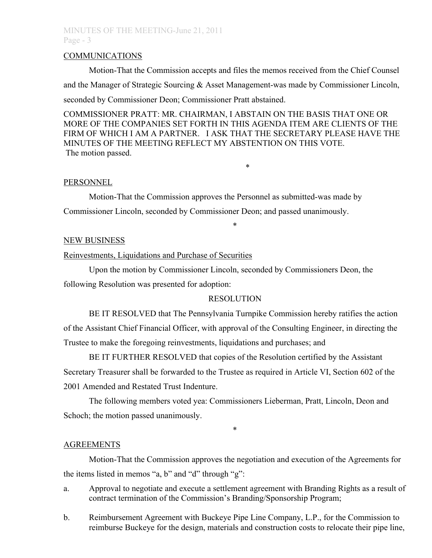# MINUTES OF THE MEETING-June 21, 2011 Page - 3

### COMMUNICATIONS

Motion-That the Commission accepts and files the memos received from the Chief Counsel and the Manager of Strategic Sourcing & Asset Management-was made by Commissioner Lincoln, seconded by Commissioner Deon; Commissioner Pratt abstained.

COMMISSIONER PRATT: MR. CHAIRMAN, I ABSTAIN ON THE BASIS THAT ONE OR MORE OF THE COMPANIES SET FORTH IN THIS AGENDA ITEM ARE CLIENTS OF THE FIRM OF WHICH I AM A PARTNER. I ASK THAT THE SECRETARY PLEASE HAVE THE MINUTES OF THE MEETING REFLECT MY ABSTENTION ON THIS VOTE. The motion passed.

\*

#### **PERSONNEL**

Motion-That the Commission approves the Personnel as submitted-was made by Commissioner Lincoln, seconded by Commissioner Deon; and passed unanimously.

#### NEW BUSINESS

Reinvestments, Liquidations and Purchase of Securities

Upon the motion by Commissioner Lincoln, seconded by Commissioners Deon, the following Resolution was presented for adoption:

## RESOLUTION

\*

BE IT RESOLVED that The Pennsylvania Turnpike Commission hereby ratifies the action of the Assistant Chief Financial Officer, with approval of the Consulting Engineer, in directing the Trustee to make the foregoing reinvestments, liquidations and purchases; and

BE IT FURTHER RESOLVED that copies of the Resolution certified by the Assistant Secretary Treasurer shall be forwarded to the Trustee as required in Article VI, Section 602 of the 2001 Amended and Restated Trust Indenture.

The following members voted yea: Commissioners Lieberman, Pratt, Lincoln, Deon and Schoch; the motion passed unanimously.

## AGREEMENTS

Motion-That the Commission approves the negotiation and execution of the Agreements for the items listed in memos "a, b" and "d" through "g":

\*

- a. Approval to negotiate and execute a settlement agreement with Branding Rights as a result of contract termination of the Commission's Branding/Sponsorship Program;
- b. Reimbursement Agreement with Buckeye Pipe Line Company, L.P., for the Commission to reimburse Buckeye for the design, materials and construction costs to relocate their pipe line,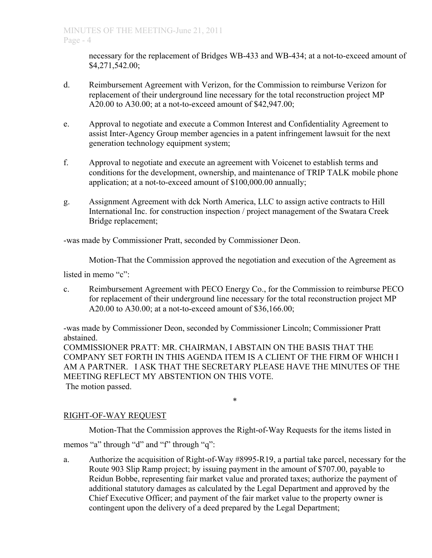necessary for the replacement of Bridges WB-433 and WB-434; at a not-to-exceed amount of \$4,271,542.00;

- d. Reimbursement Agreement with Verizon, for the Commission to reimburse Verizon for replacement of their underground line necessary for the total reconstruction project MP A20.00 to A30.00; at a not-to-exceed amount of \$42,947.00;
- e. Approval to negotiate and execute a Common Interest and Confidentiality Agreement to assist Inter-Agency Group member agencies in a patent infringement lawsuit for the next generation technology equipment system;
- f. Approval to negotiate and execute an agreement with Voicenet to establish terms and conditions for the development, ownership, and maintenance of TRIP TALK mobile phone application; at a not-to-exceed amount of \$100,000.00 annually;
- g. Assignment Agreement with dck North America, LLC to assign active contracts to Hill International Inc. for construction inspection / project management of the Swatara Creek Bridge replacement;

-was made by Commissioner Pratt, seconded by Commissioner Deon.

Motion-That the Commission approved the negotiation and execution of the Agreement as

listed in memo "c":

c. Reimbursement Agreement with PECO Energy Co., for the Commission to reimburse PECO for replacement of their underground line necessary for the total reconstruction project MP A20.00 to A30.00; at a not-to-exceed amount of \$36,166.00;

-was made by Commissioner Deon, seconded by Commissioner Lincoln; Commissioner Pratt abstained.

COMMISSIONER PRATT: MR. CHAIRMAN, I ABSTAIN ON THE BASIS THAT THE COMPANY SET FORTH IN THIS AGENDA ITEM IS A CLIENT OF THE FIRM OF WHICH I AM A PARTNER. I ASK THAT THE SECRETARY PLEASE HAVE THE MINUTES OF THE MEETING REFLECT MY ABSTENTION ON THIS VOTE. The motion passed.

\*

# RIGHT-OF-WAY REQUEST

Motion-That the Commission approves the Right-of-Way Requests for the items listed in

memos "a" through "d" and "f" through "q":

a. Authorize the acquisition of Right-of-Way #8995-R19, a partial take parcel, necessary for the Route 903 Slip Ramp project; by issuing payment in the amount of \$707.00, payable to Reidun Bobbe, representing fair market value and prorated taxes; authorize the payment of additional statutory damages as calculated by the Legal Department and approved by the Chief Executive Officer; and payment of the fair market value to the property owner is contingent upon the delivery of a deed prepared by the Legal Department;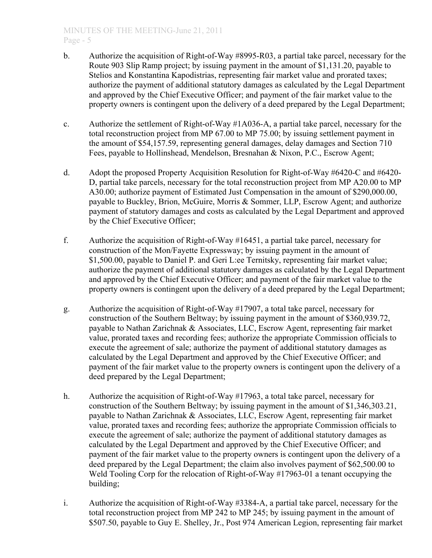- b. Authorize the acquisition of Right-of-Way #8995-R03, a partial take parcel, necessary for the Route 903 Slip Ramp project; by issuing payment in the amount of \$1,131.20, payable to Stelios and Konstantina Kapodistrias, representing fair market value and prorated taxes; authorize the payment of additional statutory damages as calculated by the Legal Department and approved by the Chief Executive Officer; and payment of the fair market value to the property owners is contingent upon the delivery of a deed prepared by the Legal Department;
- c. Authorize the settlement of Right-of-Way #1A036-A, a partial take parcel, necessary for the total reconstruction project from MP 67.00 to MP 75.00; by issuing settlement payment in the amount of \$54,157.59, representing general damages, delay damages and Section 710 Fees, payable to Hollinshead, Mendelson, Bresnahan & Nixon, P.C., Escrow Agent;
- d. Adopt the proposed Property Acquisition Resolution for Right-of-Way #6420-C and #6420- D, partial take parcels, necessary for the total reconstruction project from MP A20.00 to MP A30.00; authorize payment of Estimated Just Compensation in the amount of \$290,000.00, payable to Buckley, Brion, McGuire, Morris & Sommer, LLP, Escrow Agent; and authorize payment of statutory damages and costs as calculated by the Legal Department and approved by the Chief Executive Officer;
- f. Authorize the acquisition of Right-of-Way #16451, a partial take parcel, necessary for construction of the Mon/Fayette Expressway; by issuing payment in the amount of \$1,500.00, payable to Daniel P. and Geri L:ee Ternitsky, representing fair market value; authorize the payment of additional statutory damages as calculated by the Legal Department and approved by the Chief Executive Officer; and payment of the fair market value to the property owners is contingent upon the delivery of a deed prepared by the Legal Department;
- g. Authorize the acquisition of Right-of-Way #17907, a total take parcel, necessary for construction of the Southern Beltway; by issuing payment in the amount of \$360,939.72, payable to Nathan Zarichnak & Associates, LLC, Escrow Agent, representing fair market value, prorated taxes and recording fees; authorize the appropriate Commission officials to execute the agreement of sale; authorize the payment of additional statutory damages as calculated by the Legal Department and approved by the Chief Executive Officer; and payment of the fair market value to the property owners is contingent upon the delivery of a deed prepared by the Legal Department;
- h. Authorize the acquisition of Right-of-Way #17963, a total take parcel, necessary for construction of the Southern Beltway; by issuing payment in the amount of \$1,346,303.21, payable to Nathan Zarichnak & Associates, LLC, Escrow Agent, representing fair market value, prorated taxes and recording fees; authorize the appropriate Commission officials to execute the agreement of sale; authorize the payment of additional statutory damages as calculated by the Legal Department and approved by the Chief Executive Officer; and payment of the fair market value to the property owners is contingent upon the delivery of a deed prepared by the Legal Department; the claim also involves payment of \$62,500.00 to Weld Tooling Corp for the relocation of Right-of-Way #17963-01 a tenant occupying the building;
- i. Authorize the acquisition of Right-of-Way #3384-A, a partial take parcel, necessary for the total reconstruction project from MP 242 to MP 245; by issuing payment in the amount of \$507.50, payable to Guy E. Shelley, Jr., Post 974 American Legion, representing fair market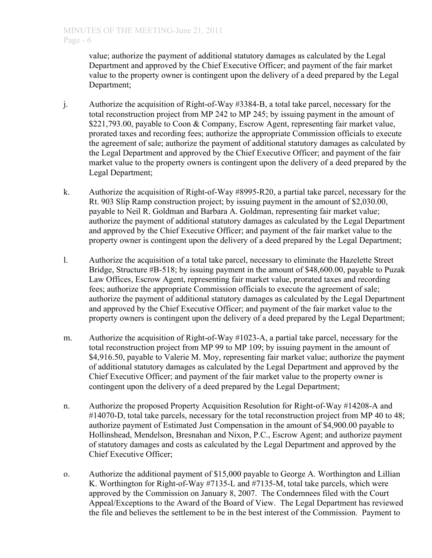value; authorize the payment of additional statutory damages as calculated by the Legal Department and approved by the Chief Executive Officer; and payment of the fair market value to the property owner is contingent upon the delivery of a deed prepared by the Legal Department;

- j. Authorize the acquisition of Right-of-Way #3384-B, a total take parcel, necessary for the total reconstruction project from MP 242 to MP 245; by issuing payment in the amount of \$221,793.00, payable to Coon & Company, Escrow Agent, representing fair market value, prorated taxes and recording fees; authorize the appropriate Commission officials to execute the agreement of sale; authorize the payment of additional statutory damages as calculated by the Legal Department and approved by the Chief Executive Officer; and payment of the fair market value to the property owners is contingent upon the delivery of a deed prepared by the Legal Department;
- k. Authorize the acquisition of Right-of-Way #8995-R20, a partial take parcel, necessary for the Rt. 903 Slip Ramp construction project; by issuing payment in the amount of \$2,030.00, payable to Neil R. Goldman and Barbara A. Goldman, representing fair market value; authorize the payment of additional statutory damages as calculated by the Legal Department and approved by the Chief Executive Officer; and payment of the fair market value to the property owner is contingent upon the delivery of a deed prepared by the Legal Department;
- l. Authorize the acquisition of a total take parcel, necessary to eliminate the Hazelette Street Bridge, Structure #B-518; by issuing payment in the amount of \$48,600.00, payable to Puzak Law Offices, Escrow Agent, representing fair market value, prorated taxes and recording fees; authorize the appropriate Commission officials to execute the agreement of sale; authorize the payment of additional statutory damages as calculated by the Legal Department and approved by the Chief Executive Officer; and payment of the fair market value to the property owners is contingent upon the delivery of a deed prepared by the Legal Department;
- m. Authorize the acquisition of Right-of-Way #1023-A, a partial take parcel, necessary for the total reconstruction project from MP 99 to MP 109; by issuing payment in the amount of \$4,916.50, payable to Valerie M. Moy, representing fair market value; authorize the payment of additional statutory damages as calculated by the Legal Department and approved by the Chief Executive Officer; and payment of the fair market value to the property owner is contingent upon the delivery of a deed prepared by the Legal Department;
- n. Authorize the proposed Property Acquisition Resolution for Right-of-Way #14208-A and #14070-D, total take parcels, necessary for the total reconstruction project from MP 40 to 48; authorize payment of Estimated Just Compensation in the amount of \$4,900.00 payable to Hollinshead, Mendelson, Bresnahan and Nixon, P.C., Escrow Agent; and authorize payment of statutory damages and costs as calculated by the Legal Department and approved by the Chief Executive Officer;
- o. Authorize the additional payment of \$15,000 payable to George A. Worthington and Lillian K. Worthington for Right-of-Way #7135-L and #7135-M, total take parcels, which were approved by the Commission on January 8, 2007. The Condemnees filed with the Court Appeal/Exceptions to the Award of the Board of View. The Legal Department has reviewed the file and believes the settlement to be in the best interest of the Commission. Payment to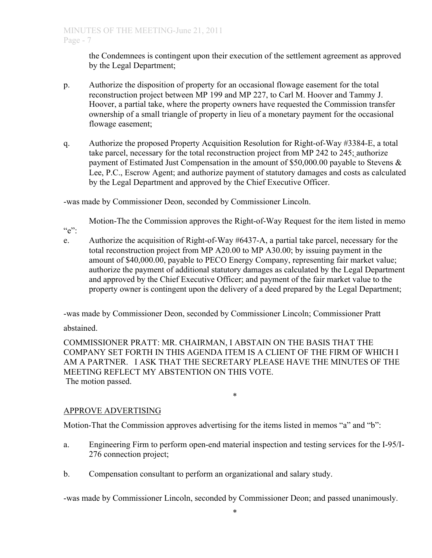the Condemnees is contingent upon their execution of the settlement agreement as approved by the Legal Department;

- p. Authorize the disposition of property for an occasional flowage easement for the total reconstruction project between MP 199 and MP 227, to Carl M. Hoover and Tammy J. Hoover, a partial take, where the property owners have requested the Commission transfer ownership of a small triangle of property in lieu of a monetary payment for the occasional flowage easement;
- q. Authorize the proposed Property Acquisition Resolution for Right-of-Way #3384-E, a total take parcel, necessary for the total reconstruction project from MP 242 to 245; authorize payment of Estimated Just Compensation in the amount of \$50,000.00 payable to Stevens & Lee, P.C., Escrow Agent; and authorize payment of statutory damages and costs as calculated by the Legal Department and approved by the Chief Executive Officer.

-was made by Commissioner Deon, seconded by Commissioner Lincoln.

Motion-The the Commission approves the Right-of-Way Request for the item listed in memo

e. Authorize the acquisition of Right-of-Way #6437-A, a partial take parcel, necessary for the total reconstruction project from MP A20.00 to MP A30.00; by issuing payment in the amount of \$40,000.00, payable to PECO Energy Company, representing fair market value; authorize the payment of additional statutory damages as calculated by the Legal Department and approved by the Chief Executive Officer; and payment of the fair market value to the property owner is contingent upon the delivery of a deed prepared by the Legal Department;

-was made by Commissioner Deon, seconded by Commissioner Lincoln; Commissioner Pratt

abstained.

 $``e"$ 

COMMISSIONER PRATT: MR. CHAIRMAN, I ABSTAIN ON THE BASIS THAT THE COMPANY SET FORTH IN THIS AGENDA ITEM IS A CLIENT OF THE FIRM OF WHICH I AM A PARTNER. I ASK THAT THE SECRETARY PLEASE HAVE THE MINUTES OF THE MEETING REFLECT MY ABSTENTION ON THIS VOTE. The motion passed.

#### \*

# APPROVE ADVERTISING

Motion-That the Commission approves advertising for the items listed in memos "a" and "b":

- a. Engineering Firm to perform open-end material inspection and testing services for the I-95/I-276 connection project;
- b. Compensation consultant to perform an organizational and salary study.

-was made by Commissioner Lincoln, seconded by Commissioner Deon; and passed unanimously.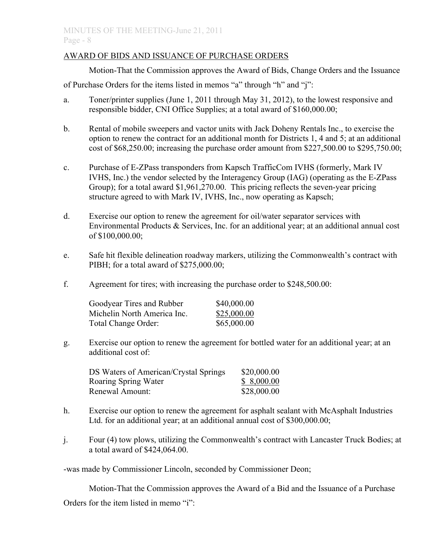## AWARD OF BIDS AND ISSUANCE OF PURCHASE ORDERS

Motion-That the Commission approves the Award of Bids, Change Orders and the Issuance

of Purchase Orders for the items listed in memos "a" through "h" and "j":

- a. Toner/printer supplies (June 1, 2011 through May 31, 2012), to the lowest responsive and responsible bidder, CNI Office Supplies; at a total award of \$160,000.00;
- b. Rental of mobile sweepers and vactor units with Jack Doheny Rentals Inc., to exercise the option to renew the contract for an additional month for Districts 1, 4 and 5; at an additional cost of \$68,250.00; increasing the purchase order amount from \$227,500.00 to \$295,750.00;
- c. Purchase of E-ZPass transponders from Kapsch TrafficCom IVHS (formerly, Mark IV IVHS, Inc.) the vendor selected by the Interagency Group (IAG) (operating as the E-ZPass Group); for a total award \$1,961,270.00. This pricing reflects the seven-year pricing structure agreed to with Mark IV, IVHS, Inc., now operating as Kapsch;
- d. Exercise our option to renew the agreement for oil/water separator services with Environmental Products & Services, Inc. for an additional year; at an additional annual cost of \$100,000.00;
- e. Safe hit flexible delineation roadway markers, utilizing the Commonwealth's contract with PIBH; for a total award of \$275,000.00;
- f. Agreement for tires; with increasing the purchase order to \$248,500.00:

| Goodyear Tires and Rubber   | \$40,000.00 |
|-----------------------------|-------------|
| Michelin North America Inc. | \$25,000.00 |
| Total Change Order:         | \$65,000.00 |

g. Exercise our option to renew the agreement for bottled water for an additional year; at an additional cost of:

| DS Waters of American/Crystal Springs | \$20,000.00 |
|---------------------------------------|-------------|
| Roaring Spring Water                  | \$8,000.00  |
| Renewal Amount:                       | \$28,000.00 |

- h. Exercise our option to renew the agreement for asphalt sealant with McAsphalt Industries Ltd. for an additional year; at an additional annual cost of \$300,000.00;
- j. Four (4) tow plows, utilizing the Commonwealth's contract with Lancaster Truck Bodies; at a total award of \$424,064.00.

-was made by Commissioner Lincoln, seconded by Commissioner Deon;

Motion-That the Commission approves the Award of a Bid and the Issuance of a Purchase Orders for the item listed in memo "i":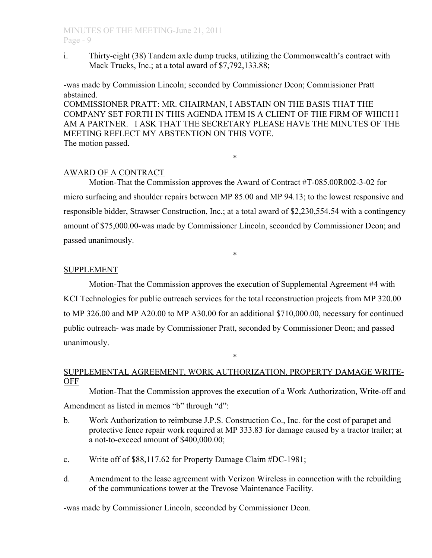i. Thirty-eight (38) Tandem axle dump trucks, utilizing the Commonwealth's contract with Mack Trucks, Inc.; at a total award of \$7,792,133.88;

-was made by Commission Lincoln; seconded by Commissioner Deon; Commissioner Pratt abstained.

COMMISSIONER PRATT: MR. CHAIRMAN, I ABSTAIN ON THE BASIS THAT THE COMPANY SET FORTH IN THIS AGENDA ITEM IS A CLIENT OF THE FIRM OF WHICH I AM A PARTNER. I ASK THAT THE SECRETARY PLEASE HAVE THE MINUTES OF THE MEETING REFLECT MY ABSTENTION ON THIS VOTE. The motion passed.

\*

# AWARD OF A CONTRACT

Motion-That the Commission approves the Award of Contract #T-085.00R002-3-02 for micro surfacing and shoulder repairs between MP 85.00 and MP 94.13; to the lowest responsive and responsible bidder, Strawser Construction, Inc.; at a total award of \$2,230,554.54 with a contingency amount of \$75,000.00-was made by Commissioner Lincoln, seconded by Commissioner Deon; and passed unanimously.

\*

# SUPPLEMENT

Motion-That the Commission approves the execution of Supplemental Agreement #4 with KCI Technologies for public outreach services for the total reconstruction projects from MP 320.00 to MP 326.00 and MP A20.00 to MP A30.00 for an additional \$710,000.00, necessary for continued public outreach- was made by Commissioner Pratt, seconded by Commissioner Deon; and passed unanimously.

# SUPPLEMENTAL AGREEMENT, WORK AUTHORIZATION, PROPERTY DAMAGE WRITE-OFF

\*

Motion-That the Commission approves the execution of a Work Authorization, Write-off and Amendment as listed in memos "b" through "d":

- b. Work Authorization to reimburse J.P.S. Construction Co., Inc. for the cost of parapet and protective fence repair work required at MP 333.83 for damage caused by a tractor trailer; at a not-to-exceed amount of \$400,000.00;
- c. Write off of \$88,117.62 for Property Damage Claim #DC-1981;
- d. Amendment to the lease agreement with Verizon Wireless in connection with the rebuilding of the communications tower at the Trevose Maintenance Facility.

-was made by Commissioner Lincoln, seconded by Commissioner Deon.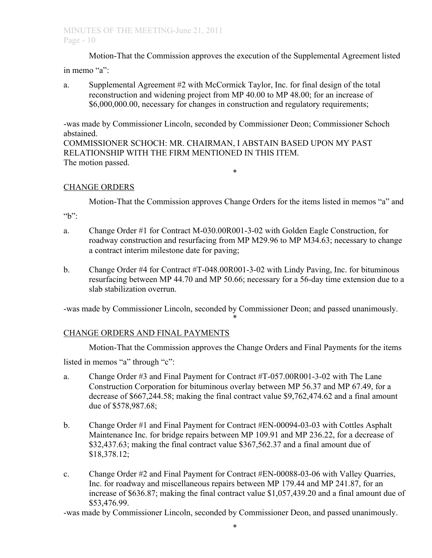Motion-That the Commission approves the execution of the Supplemental Agreement listed in memo "a":

- 
- a. Supplemental Agreement #2 with McCormick Taylor, Inc. for final design of the total reconstruction and widening project from MP 40.00 to MP 48.00; for an increase of \$6,000,000.00, necessary for changes in construction and regulatory requirements;

-was made by Commissioner Lincoln, seconded by Commissioner Deon; Commissioner Schoch abstained.

COMMISSIONER SCHOCH: MR. CHAIRMAN, I ABSTAIN BASED UPON MY PAST RELATIONSHIP WITH THE FIRM MENTIONED IN THIS ITEM. The motion passed. \*

# CHANGE ORDERS

Motion-That the Commission approves Change Orders for the items listed in memos "a" and

"b":

- a. Change Order #1 for Contract M-030.00R001-3-02 with Golden Eagle Construction, for roadway construction and resurfacing from MP M29.96 to MP M34.63; necessary to change a contract interim milestone date for paving;
- b. Change Order #4 for Contract #T-048.00R001-3-02 with Lindy Paving, Inc. for bituminous resurfacing between MP 44.70 and MP 50.66; necessary for a 56-day time extension due to a slab stabilization overrun.

-was made by Commissioner Lincoln, seconded by Commissioner Deon; and passed unanimously. \*

# CHANGE ORDERS AND FINAL PAYMENTS

Motion-That the Commission approves the Change Orders and Final Payments for the items

listed in memos "a" through "c":

- a. Change Order #3 and Final Payment for Contract #T-057.00R001-3-02 with The Lane Construction Corporation for bituminous overlay between MP 56.37 and MP 67.49, for a decrease of \$667,244.58; making the final contract value \$9,762,474.62 and a final amount due of \$578,987.68;
- b. Change Order #1 and Final Payment for Contract #EN-00094-03-03 with Cottles Asphalt Maintenance Inc. for bridge repairs between MP 109.91 and MP 236.22, for a decrease of \$32,437.63; making the final contract value \$367,562.37 and a final amount due of \$18,378.12;
- c. Change Order #2 and Final Payment for Contract #EN-00088-03-06 with Valley Quarries, Inc. for roadway and miscellaneous repairs between MP 179.44 and MP 241.87, for an increase of \$636.87; making the final contract value \$1,057,439.20 and a final amount due of \$53,476.99.

-was made by Commissioner Lincoln, seconded by Commissioner Deon, and passed unanimously.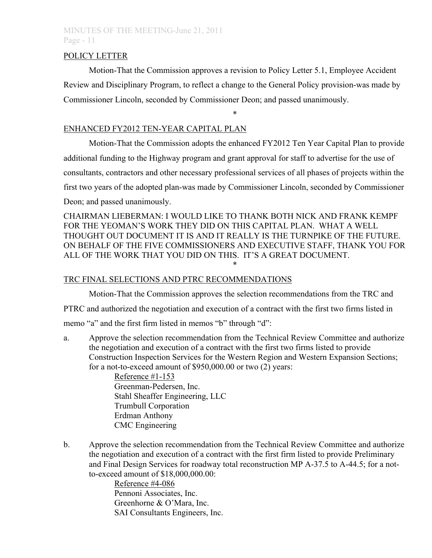## POLICY LETTER

Motion-That the Commission approves a revision to Policy Letter 5.1, Employee Accident Review and Disciplinary Program, to reflect a change to the General Policy provision-was made by Commissioner Lincoln, seconded by Commissioner Deon; and passed unanimously.

\*

# ENHANCED FY2012 TEN-YEAR CAPITAL PLAN

Motion-That the Commission adopts the enhanced FY2012 Ten Year Capital Plan to provide additional funding to the Highway program and grant approval for staff to advertise for the use of consultants, contractors and other necessary professional services of all phases of projects within the first two years of the adopted plan-was made by Commissioner Lincoln, seconded by Commissioner Deon; and passed unanimously.

CHAIRMAN LIEBERMAN: I WOULD LIKE TO THANK BOTH NICK AND FRANK KEMPF FOR THE YEOMAN'S WORK THEY DID ON THIS CAPITAL PLAN. WHAT A WELL THOUGHT OUT DOCUMENT IT IS AND IT REALLY IS THE TURNPIKE OF THE FUTURE. ON BEHALF OF THE FIVE COMMISSIONERS AND EXECUTIVE STAFF, THANK YOU FOR ALL OF THE WORK THAT YOU DID ON THIS. IT'S A GREAT DOCUMENT. \*

# TRC FINAL SELECTIONS AND PTRC RECOMMENDATIONS

Motion-That the Commission approves the selection recommendations from the TRC and PTRC and authorized the negotiation and execution of a contract with the first two firms listed in memo "a" and the first firm listed in memos "b" through "d":

a. Approve the selection recommendation from the Technical Review Committee and authorize the negotiation and execution of a contract with the first two firms listed to provide Construction Inspection Services for the Western Region and Western Expansion Sections; for a not-to-exceed amount of \$950,000.00 or two (2) years:

Reference #1-153 Greenman-Pedersen, Inc. Stahl Sheaffer Engineering, LLC Trumbull Corporation Erdman Anthony CMC Engineering

b. Approve the selection recommendation from the Technical Review Committee and authorize the negotiation and execution of a contract with the first firm listed to provide Preliminary and Final Design Services for roadway total reconstruction MP A-37.5 to A-44.5; for a notto-exceed amount of \$18,000,000.00:

> Reference #4-086 Pennoni Associates, Inc. Greenhorne & O'Mara, Inc. SAI Consultants Engineers, Inc.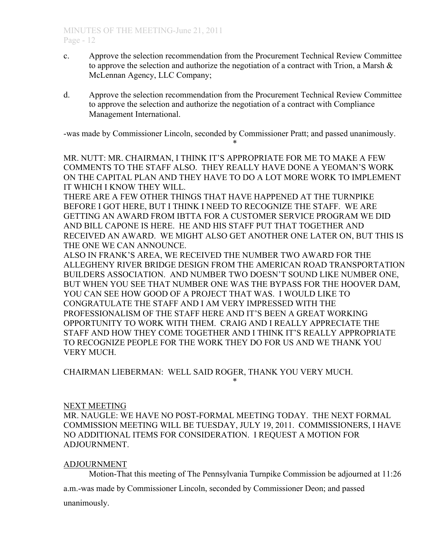- c. Approve the selection recommendation from the Procurement Technical Review Committee to approve the selection and authorize the negotiation of a contract with Trion, a Marsh  $\&$ McLennan Agency, LLC Company;
- d. Approve the selection recommendation from the Procurement Technical Review Committee to approve the selection and authorize the negotiation of a contract with Compliance Management International.

-was made by Commissioner Lincoln, seconded by Commissioner Pratt; and passed unanimously.

\*

MR. NUTT: MR. CHAIRMAN, I THINK IT'S APPROPRIATE FOR ME TO MAKE A FEW COMMENTS TO THE STAFF ALSO. THEY REALLY HAVE DONE A YEOMAN'S WORK ON THE CAPITAL PLAN AND THEY HAVE TO DO A LOT MORE WORK TO IMPLEMENT IT WHICH I KNOW THEY WILL.

THERE ARE A FEW OTHER THINGS THAT HAVE HAPPENED AT THE TURNPIKE BEFORE I GOT HERE, BUT I THINK I NEED TO RECOGNIZE THE STAFF. WE ARE GETTING AN AWARD FROM IBTTA FOR A CUSTOMER SERVICE PROGRAM WE DID AND BILL CAPONE IS HERE. HE AND HIS STAFF PUT THAT TOGETHER AND RECEIVED AN AWARD. WE MIGHT ALSO GET ANOTHER ONE LATER ON, BUT THIS IS THE ONE WE CAN ANNOUNCE.

ALSO IN FRANK'S AREA, WE RECEIVED THE NUMBER TWO AWARD FOR THE ALLEGHENY RIVER BRIDGE DESIGN FROM THE AMERICAN ROAD TRANSPORTATION BUILDERS ASSOCIATION. AND NUMBER TWO DOESN'T SOUND LIKE NUMBER ONE, BUT WHEN YOU SEE THAT NUMBER ONE WAS THE BYPASS FOR THE HOOVER DAM, YOU CAN SEE HOW GOOD OF A PROJECT THAT WAS. I WOULD LIKE TO CONGRATULATE THE STAFF AND I AM VERY IMPRESSED WITH THE PROFESSIONALISM OF THE STAFF HERE AND IT'S BEEN A GREAT WORKING OPPORTUNITY TO WORK WITH THEM. CRAIG AND I REALLY APPRECIATE THE STAFF AND HOW THEY COME TOGETHER AND I THINK IT'S REALLY APPROPRIATE TO RECOGNIZE PEOPLE FOR THE WORK THEY DO FOR US AND WE THANK YOU VERY MUCH.

CHAIRMAN LIEBERMAN: WELL SAID ROGER, THANK YOU VERY MUCH.

## NEXT MEETING

MR. NAUGLE: WE HAVE NO POST-FORMAL MEETING TODAY. THE NEXT FORMAL COMMISSION MEETING WILL BE TUESDAY, JULY 19, 2011. COMMISSIONERS, I HAVE NO ADDITIONAL ITEMS FOR CONSIDERATION. I REQUEST A MOTION FOR ADJOURNMENT.

\*

# ADJOURNMENT

Motion-That this meeting of The Pennsylvania Turnpike Commission be adjourned at 11:26

a.m.-was made by Commissioner Lincoln, seconded by Commissioner Deon; and passed unanimously.